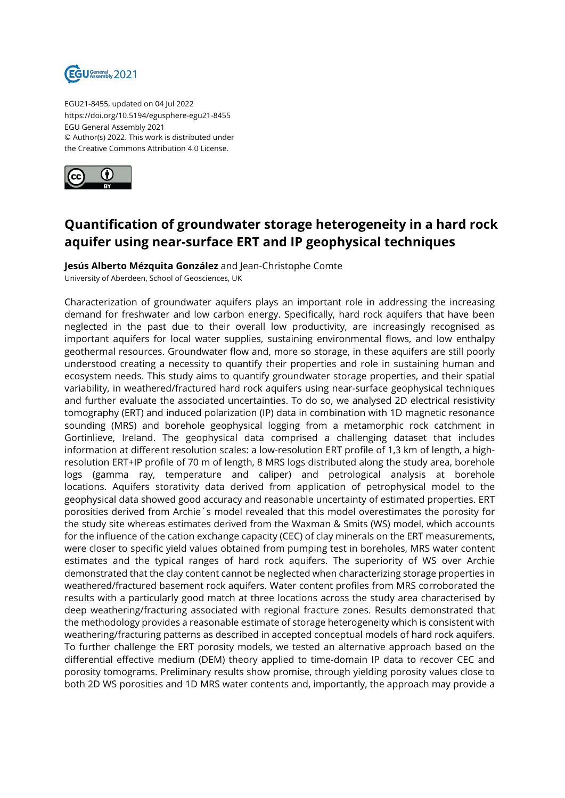

EGU21-8455, updated on 04 Jul 2022 https://doi.org/10.5194/egusphere-egu21-8455 EGU General Assembly 2021 © Author(s) 2022. This work is distributed under the Creative Commons Attribution 4.0 License.



## **Quantification of groundwater storage heterogeneity in a hard rock aquifer using near-surface ERT and IP geophysical techniques**

**Jesús Alberto Mézquita González** and Jean-Christophe Comte University of Aberdeen, School of Geosciences, UK

Characterization of groundwater aquifers plays an important role in addressing the increasing demand for freshwater and low carbon energy. Specifically, hard rock aquifers that have been neglected in the past due to their overall low productivity, are increasingly recognised as important aquifers for local water supplies, sustaining environmental flows, and low enthalpy geothermal resources. Groundwater flow and, more so storage, in these aquifers are still poorly understood creating a necessity to quantify their properties and role in sustaining human and ecosystem needs. This study aims to quantify groundwater storage properties, and their spatial variability, in weathered/fractured hard rock aquifers using near-surface geophysical techniques and further evaluate the associated uncertainties. To do so, we analysed 2D electrical resistivity tomography (ERT) and induced polarization (IP) data in combination with 1D magnetic resonance sounding (MRS) and borehole geophysical logging from a metamorphic rock catchment in Gortinlieve, Ireland. The geophysical data comprised a challenging dataset that includes information at different resolution scales: a low-resolution ERT profile of 1,3 km of length, a highresolution ERT+IP profile of 70 m of length, 8 MRS logs distributed along the study area, borehole logs (gamma ray, temperature and caliper) and petrological analysis at borehole locations. Aquifers storativity data derived from application of petrophysical model to the geophysical data showed good accuracy and reasonable uncertainty of estimated properties. ERT porosities derived from Archie´s model revealed that this model overestimates the porosity for the study site whereas estimates derived from the Waxman & Smits (WS) model, which accounts for the influence of the cation exchange capacity (CEC) of clay minerals on the ERT measurements, were closer to specific yield values obtained from pumping test in boreholes, MRS water content estimates and the typical ranges of hard rock aquifers. The superiority of WS over Archie demonstrated that the clay content cannot be neglected when characterizing storage properties in weathered/fractured basement rock aquifers. Water content profiles from MRS corroborated the results with a particularly good match at three locations across the study area characterised by deep weathering/fracturing associated with regional fracture zones. Results demonstrated that the methodology provides a reasonable estimate of storage heterogeneity which is consistent with weathering/fracturing patterns as described in accepted conceptual models of hard rock aquifers. To further challenge the ERT porosity models, we tested an alternative approach based on the differential effective medium (DEM) theory applied to time-domain IP data to recover CEC and porosity tomograms. Preliminary results show promise, through yielding porosity values close to both 2D WS porosities and 1D MRS water contents and, importantly, the approach may provide a